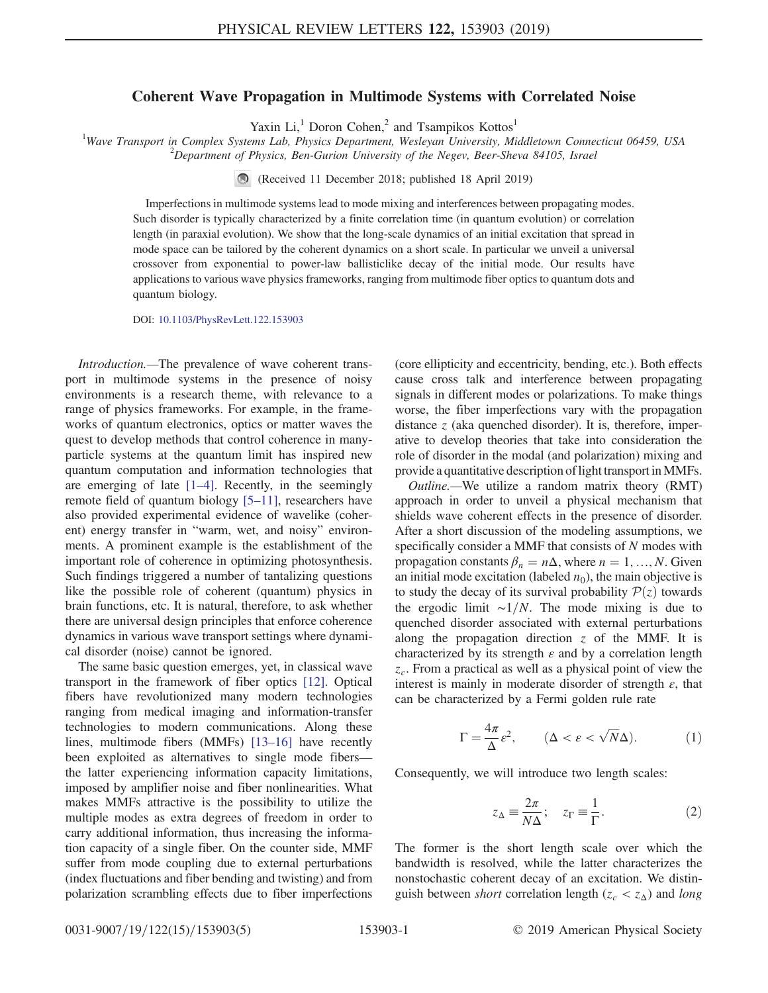## Coherent Wave Propagation in Multimode Systems with Correlated Noise

Yaxin  $Li$ ,<sup>1</sup> Doron Cohen,<sup>2</sup> and Tsampikos Kottos<sup>1</sup>

<sup>1</sup>Wave Transport in Complex Systems Lab, Physics Department, Wesleyan University, Middletown Connecticut 06459, USA  $\frac{2}{100}$   $\frac{2}{100}$   $\frac{2}{100}$   $\frac{2}{100}$   $\frac{2}{100}$   $\frac{2}{100}$   $\frac{2}{100}$   $\frac{2}{100}$   $\frac{2}{10$  $P^2$ Department of Physics, Ben-Gurion University of the Negev, Beer-Sheva 84105, Israel

(Received 11 December 2018; published 18 April 2019)

Imperfections in multimode systems lead to mode mixing and interferences between propagating modes. Such disorder is typically characterized by a finite correlation time (in quantum evolution) or correlation length (in paraxial evolution). We show that the long-scale dynamics of an initial excitation that spread in mode space can be tailored by the coherent dynamics on a short scale. In particular we unveil a universal crossover from exponential to power-law ballisticlike decay of the initial mode. Our results have applications to various wave physics frameworks, ranging from multimode fiber optics to quantum dots and quantum biology.

DOI: [10.1103/PhysRevLett.122.153903](https://doi.org/10.1103/PhysRevLett.122.153903)

Introduction.—The prevalence of wave coherent transport in multimode systems in the presence of noisy environments is a research theme, with relevance to a range of physics frameworks. For example, in the frameworks of quantum electronics, optics or matter waves the quest to develop methods that control coherence in manyparticle systems at the quantum limit has inspired new quantum computation and information technologies that are emerging of late [1–[4\].](#page-4-0) Recently, in the seemingly remote field of quantum biology [5–[11\],](#page-4-1) researchers have also provided experimental evidence of wavelike (coherent) energy transfer in "warm, wet, and noisy" environments. A prominent example is the establishment of the important role of coherence in optimizing photosynthesis. Such findings triggered a number of tantalizing questions like the possible role of coherent (quantum) physics in brain functions, etc. It is natural, therefore, to ask whether there are universal design principles that enforce coherence dynamics in various wave transport settings where dynamical disorder (noise) cannot be ignored.

The same basic question emerges, yet, in classical wave transport in the framework of fiber optics [\[12\]](#page-4-2). Optical fibers have revolutionized many modern technologies ranging from medical imaging and information-transfer technologies to modern communications. Along these lines, multimode fibers (MMFs) [\[13](#page-4-3)–16] have recently been exploited as alternatives to single mode fibers the latter experiencing information capacity limitations, imposed by amplifier noise and fiber nonlinearities. What makes MMFs attractive is the possibility to utilize the multiple modes as extra degrees of freedom in order to carry additional information, thus increasing the information capacity of a single fiber. On the counter side, MMF suffer from mode coupling due to external perturbations (index fluctuations and fiber bending and twisting) and from polarization scrambling effects due to fiber imperfections (core ellipticity and eccentricity, bending, etc.). Both effects cause cross talk and interference between propagating signals in different modes or polarizations. To make things worse, the fiber imperfections vary with the propagation distance  $z$  (aka quenched disorder). It is, therefore, imperative to develop theories that take into consideration the role of disorder in the modal (and polarization) mixing and provide a quantitative description of light transport in MMFs.

Outline.—We utilize a random matrix theory (RMT) approach in order to unveil a physical mechanism that shields wave coherent effects in the presence of disorder. After a short discussion of the modeling assumptions, we specifically consider a MMF that consists of N modes with propagation constants  $\beta_n = n\Delta$ , where  $n = 1, ..., N$ . Given an initial mode excitation (labeled  $n_0$ ), the main objective is to study the decay of its survival probability  $P(z)$  towards the ergodic limit  $\sim$ 1/N. The mode mixing is due to quenched disorder associated with external perturbations along the propagation direction  $z$  of the MMF. It is characterized by its strength  $\varepsilon$  and by a correlation length  $z_c$ . From a practical as well as a physical point of view the interest is mainly in moderate disorder of strength  $\varepsilon$ , that can be characterized by a Fermi golden rule rate

<span id="page-0-0"></span>
$$
\Gamma = \frac{4\pi}{\Delta} \varepsilon^2, \qquad (\Delta < \varepsilon < \sqrt{N}\Delta). \tag{1}
$$

<span id="page-0-1"></span>Consequently, we will introduce two length scales:

$$
z_{\Delta} \equiv \frac{2\pi}{N\Delta}; \quad z_{\Gamma} \equiv \frac{1}{\Gamma}.
$$
 (2)

The former is the short length scale over which the bandwidth is resolved, while the latter characterizes the nonstochastic coherent decay of an excitation. We distinguish between *short* correlation length ( $z_c < z_\Delta$ ) and long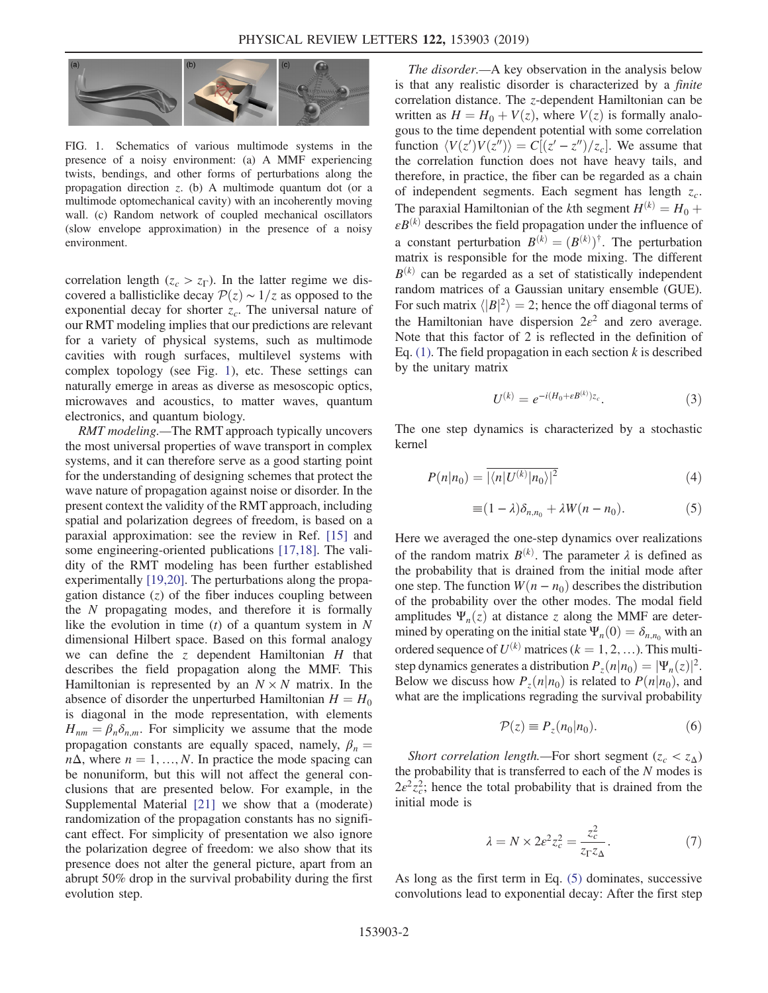<span id="page-1-0"></span>

FIG. 1. Schematics of various multimode systems in the presence of a noisy environment: (a) A MMF experiencing twists, bendings, and other forms of perturbations along the propagation direction  $z$ . (b) A multimode quantum dot (or a multimode optomechanical cavity) with an incoherently moving wall. (c) Random network of coupled mechanical oscillators (slow envelope approximation) in the presence of a noisy environment.

correlation length ( $z_c > z_\Gamma$ ). In the latter regime we discovered a ballisticlike decay  $\mathcal{P}(z) \sim 1/z$  as opposed to the exponential decay for shorter  $z_c$ . The universal nature of our RMT modeling implies that our predictions are relevant for a variety of physical systems, such as multimode cavities with rough surfaces, multilevel systems with complex topology (see Fig. [1](#page-1-0)), etc. These settings can naturally emerge in areas as diverse as mesoscopic optics, microwaves and acoustics, to matter waves, quantum electronics, and quantum biology.

RMT modeling.—The RMT approach typically uncovers the most universal properties of wave transport in complex systems, and it can therefore serve as a good starting point for the understanding of designing schemes that protect the wave nature of propagation against noise or disorder. In the present context the validity of the RMT approach, including spatial and polarization degrees of freedom, is based on a paraxial approximation: see the review in Ref. [\[15\]](#page-4-4) and some engineering-oriented publications [\[17,18\]](#page-4-5). The validity of the RMT modeling has been further established experimentally [\[19,20\]](#page-4-6). The perturbations along the propagation distance  $(z)$  of the fiber induces coupling between the  $N$  propagating modes, and therefore it is formally like the evolution in time  $(t)$  of a quantum system in N dimensional Hilbert space. Based on this formal analogy we can define the z dependent Hamiltonian  $H$  that describes the field propagation along the MMF. This Hamiltonian is represented by an  $N \times N$  matrix. In the absence of disorder the unperturbed Hamiltonian  $H = H_0$ is diagonal in the mode representation, with elements  $H_{nm} = \beta_n \delta_{n,m}$ . For simplicity we assume that the mode propagation constants are equally spaced, namely,  $\beta_n =$  $n\Delta$ , where  $n = 1, ..., N$ . In practice the mode spacing can be nonuniform, but this will not affect the general conclusions that are presented below. For example, in the Supplemental Material [\[21\]](#page-4-7) we show that a (moderate) randomization of the propagation constants has no significant effect. For simplicity of presentation we also ignore the polarization degree of freedom: we also show that its presence does not alter the general picture, apart from an abrupt 50% drop in the survival probability during the first evolution step.

The disorder.—A key observation in the analysis below is that any realistic disorder is characterized by a finite correlation distance. The z-dependent Hamiltonian can be written as  $H = H_0 + V(z)$ , where  $V(z)$  is formally analogous to the time dependent potential with some correlation function  $\langle V(z')V(z'')\rangle = C[(z'-z'')/z_c]$ . We assume that the correlation function does not have heavy tails, and therefore, in practice, the fiber can be regarded as a chain of independent segments. Each segment has length  $z_c$ . The paraxial Hamiltonian of the kth segment  $H^{(k)} = H_0 +$  $\epsilon B^{(k)}$  describes the field propagation under the influence of a constant perturbation  $B^{(k)} = (B^{(k)})^{\dagger}$ . The perturbation matrix is responsible for the mode mixing. The different  $B^{(k)}$  can be regarded as a set of statistically independent random matrices of a Gaussian unitary ensemble (GUE). For such matrix  $\langle |B|^2 \rangle = 2$ ; hence the off diagonal terms of the Hamiltonian have dispersion  $2\varepsilon^2$  and zero average. Note that this factor of 2 is reflected in the definition of Eq.  $(1)$ . The field propagation in each section k is described by the unitary matrix

$$
U^{(k)} = e^{-i(H_0 + \varepsilon B^{(k)})z_c}.\tag{3}
$$

The one step dynamics is characterized by a stochastic kernel

<span id="page-1-1"></span>
$$
P(n|n_0) = \overline{|\langle n|U^{(k)}|n_0\rangle|^2}
$$
 (4)

$$
\equiv (1 - \lambda)\delta_{n,n_0} + \lambda W(n - n_0). \tag{5}
$$

Here we averaged the one-step dynamics over realizations of the random matrix  $B^{(k)}$ . The parameter  $\lambda$  is defined as the probability that is drained from the initial mode after one step. The function  $W(n - n_0)$  describes the distribution of the probability over the other modes. The modal field amplitudes  $\Psi_n(z)$  at distance z along the MMF are determined by operating on the initial state  $\Psi_n(0) = \delta_{n,n_0}$  with an ordered sequence of  $U^{(k)}$  matrices ( $k = 1, 2, ...$ ). This multistep dynamics generates a distribution  $P_z(n|n_0)=|\Psi_n(z)|^2$ . Below we discuss how  $P_7(n|n_0)$  is related to  $P(n|n_0)$ , and what are the implications regrading the survival probability

$$
\mathcal{P}(z) \equiv P_z(n_0|n_0). \tag{6}
$$

Short correlation length.—For short segment ( $z_c < z_\Delta$ ) the probability that is transferred to each of the  $N$  modes is  $2\varepsilon^2 z_c^2$ ; hence the total probability that is drained from the initial mode is

$$
\lambda = N \times 2\varepsilon^2 z_c^2 = \frac{z_c^2}{z_\Gamma z_\Delta}.\tag{7}
$$

As long as the first term in Eq. [\(5\)](#page-1-1) dominates, successive convolutions lead to exponential decay: After the first step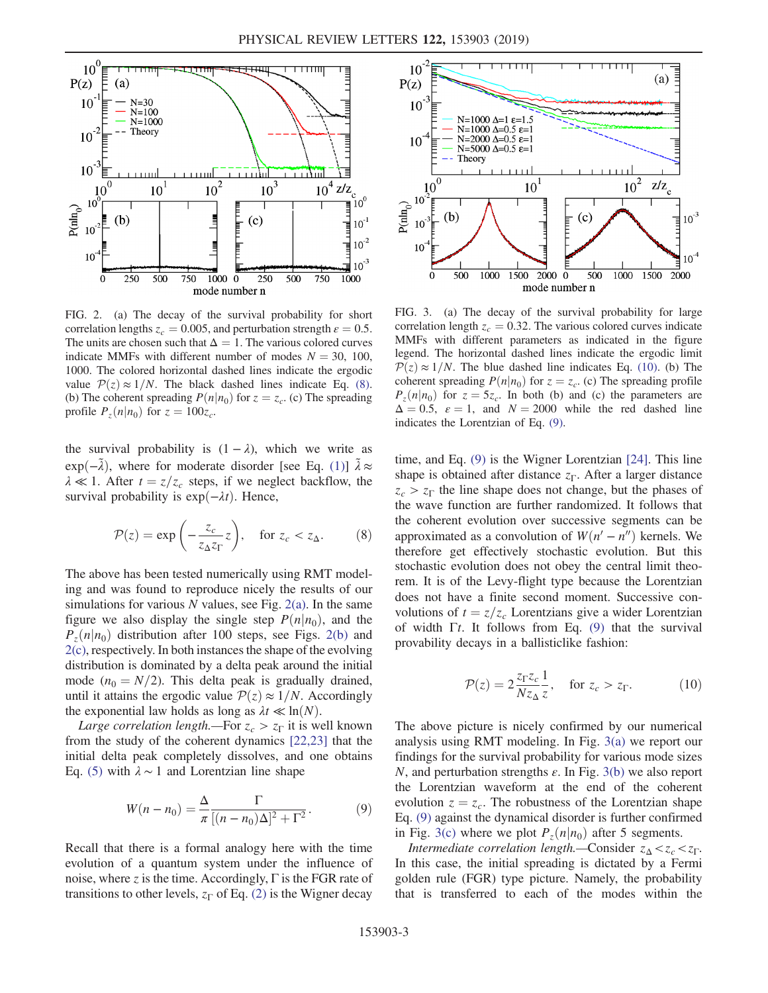<span id="page-2-0"></span>

FIG. 2. (a) The decay of the survival probability for short correlation lengths  $z_c = 0.005$ , and perturbation strength  $\varepsilon = 0.5$ . The units are chosen such that  $\Delta = 1$ . The various colored curves indicate MMFs with different number of modes  $N = 30, 100$ , 1000. The colored horizontal dashed lines indicate the ergodic value  $P(z) \approx 1/N$ . The black dashed lines indicate Eq. [\(8\).](#page-2-3) (b) The coherent spreading  $P(n|n_0)$  for  $z = z_c$ . (c) The spreading profile  $P_z(n|n_0)$  for  $z = 100z_c$ .

<span id="page-2-3"></span>the survival probability is  $(1 - \lambda)$ , which we write as  $\exp(-\tilde{\lambda})$ , where for moderate disorder [see Eq. [\(1\)](#page-0-0)]  $\tilde{\lambda} \approx$  $\lambda \ll 1$ . After  $t = z/z_c$  steps, if we neglect backflow, the survival probability is  $exp(-\lambda t)$ . Hence,

$$
\mathcal{P}(z) = \exp\left(-\frac{z_c}{z_\Delta z_\Gamma} z\right), \quad \text{for } z_c < z_\Delta. \tag{8}
$$

The above has been tested numerically using RMT modeling and was found to reproduce nicely the results of our simulations for various N values, see Fig.  $2(a)$ . In the same figure we also display the single step  $P(n|n_0)$ , and the  $P_{z}(n|n_0)$  distribution after 100 steps, see Figs. [2\(b\)](#page-2-0) and [2\(c\)](#page-2-0), respectively. In both instances the shape of the evolving distribution is dominated by a delta peak around the initial mode ( $n_0 = N/2$ ). This delta peak is gradually drained, until it attains the ergodic value  $P(z) \approx 1/N$ . Accordingly the exponential law holds as long as  $\lambda t \ll \ln(N)$ .

<span id="page-2-1"></span>Large correlation length.—For  $z_c > z_{\Gamma}$  it is well known from the study of the coherent dynamics [\[22,23\]](#page-4-8) that the initial delta peak completely dissolves, and one obtains Eq. [\(5\)](#page-1-1) with  $\lambda \sim 1$  and Lorentzian line shape

$$
W(n - n_0) = \frac{\Delta}{\pi} \frac{\Gamma}{[(n - n_0)\Delta]^2 + \Gamma^2}.
$$
 (9)

Recall that there is a formal analogy here with the time evolution of a quantum system under the influence of noise, where z is the time. Accordingly,  $\Gamma$  is the FGR rate of transitions to other levels,  $z_{\Gamma}$  of Eq. [\(2\)](#page-0-1) is the Wigner decay

<span id="page-2-2"></span>

FIG. 3. (a) The decay of the survival probability for large correlation length  $z_c = 0.32$ . The various colored curves indicate MMFs with different parameters as indicated in the figure legend. The horizontal dashed lines indicate the ergodic limit  $P(z) \approx 1/N$ . The blue dashed line indicates Eq. [\(10\)](#page-2-4). (b) The coherent spreading  $P(n|n_0)$  for  $z = z_c$ . (c) The spreading profile  $P_z(n|n_0)$  for  $z = 5z_c$ . In both (b) and (c) the parameters are  $\Delta = 0.5$ ,  $\varepsilon = 1$ , and  $N = 2000$  while the red dashed line indicates the Lorentzian of Eq. [\(9\).](#page-2-1)

time, and Eq. [\(9\)](#page-2-1) is the Wigner Lorentzian [\[24\].](#page-4-9) This line shape is obtained after distance  $z_{\Gamma}$ . After a larger distance  $z_c > z_{\Gamma}$  the line shape does not change, but the phases of the wave function are further randomized. It follows that the coherent evolution over successive segments can be approximated as a convolution of  $W(n' - n'')$  kernels. We therefore get effectively stochastic evolution. But this stochastic evolution does not obey the central limit theorem. It is of the Levy-flight type because the Lorentzian does not have a finite second moment. Successive convolutions of  $t = z/z_c$  Lorentzians give a wider Lorentzian of width  $\Gamma t$ . It follows from Eq. [\(9\)](#page-2-1) that the survival provability decays in a ballisticlike fashion:

<span id="page-2-4"></span>
$$
\mathcal{P}(z) = 2 \frac{z_{\Gamma} z_c}{N z_{\Delta} z}, \quad \text{for } z_c > z_{\Gamma}. \tag{10}
$$

The above picture is nicely confirmed by our numerical analysis using RMT modeling. In Fig. [3\(a\)](#page-2-2) we report our findings for the survival probability for various mode sizes N, and perturbation strengths  $\varepsilon$ . In Fig. [3\(b\)](#page-2-2) we also report the Lorentzian waveform at the end of the coherent evolution  $z = z_c$ . The robustness of the Lorentzian shape Eq. [\(9\)](#page-2-1) against the dynamical disorder is further confirmed in Fig. [3\(c\)](#page-2-2) where we plot  $P_z(n|n_0)$  after 5 segments.

Intermediate correlation length.—Consider  $z_{\Delta} < z_c < z_\Gamma$ . In this case, the initial spreading is dictated by a Fermi golden rule (FGR) type picture. Namely, the probability that is transferred to each of the modes within the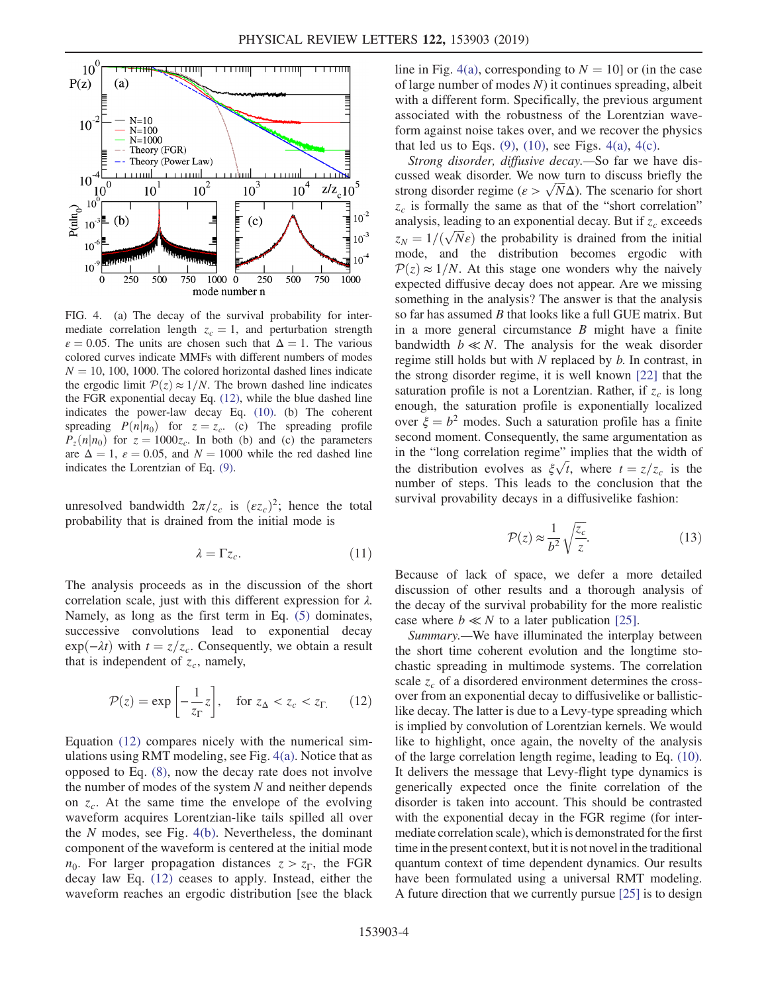<span id="page-3-1"></span>

FIG. 4. (a) The decay of the survival probability for intermediate correlation length  $z_c = 1$ , and perturbation strength  $\varepsilon = 0.05$ . The units are chosen such that  $\Delta = 1$ . The various colored curves indicate MMFs with different numbers of modes  $N = 10$ , 100, 1000. The colored horizontal dashed lines indicate the ergodic limit  $P(z) \approx 1/N$ . The brown dashed line indicates the FGR exponential decay Eq. [\(12\)](#page-3-0), while the blue dashed line indicates the power-law decay Eq. [\(10\)](#page-2-4). (b) The coherent spreading  $P(n|n_0)$  for  $z = z_c$ . (c) The spreading profile  $P_{z}(n|n_0)$  for  $z = 1000z_c$ . In both (b) and (c) the parameters are  $\Delta = 1$ ,  $\varepsilon = 0.05$ , and  $N = 1000$  while the red dashed line indicates the Lorentzian of Eq. [\(9\).](#page-2-1)

unresolved bandwidth  $2\pi/z_c$  is  $(\varepsilon z_c)^2$ ; hence the total probability that is drained from the initial mode is

$$
\lambda = \Gamma z_c. \tag{11}
$$

The analysis proceeds as in the discussion of the short correlation scale, just with this different expression for  $\lambda$ . Namely, as long as the first term in Eq. [\(5\)](#page-1-1) dominates, successive convolutions lead to exponential decay  $exp(-\lambda t)$  with  $t = z/z_c$ . Consequently, we obtain a result that is independent of  $z_c$ , namely,

<span id="page-3-0"></span>
$$
\mathcal{P}(z) = \exp\left[-\frac{1}{z_{\Gamma}}z\right], \quad \text{for } z_{\Delta} < z_c < z_{\Gamma}. \tag{12}
$$

Equation [\(12\)](#page-3-0) compares nicely with the numerical simulations using RMT modeling, see Fig. [4\(a\).](#page-3-1) Notice that as opposed to Eq. [\(8\)](#page-2-3), now the decay rate does not involve the number of modes of the system  $N$  and neither depends on  $z_c$ . At the same time the envelope of the evolving waveform acquires Lorentzian-like tails spilled all over the N modes, see Fig. [4\(b\).](#page-3-1) Nevertheless, the dominant component of the waveform is centered at the initial mode  $n_0$ . For larger propagation distances  $z > z_\Gamma$ , the FGR decay law Eq. [\(12\)](#page-3-0) ceases to apply. Instead, either the waveform reaches an ergodic distribution [see the black line in Fig. [4\(a\)](#page-3-1), corresponding to  $N = 10$  or (in the case of large number of modes  $N$ ) it continues spreading, albeit with a different form. Specifically, the previous argument associated with the robustness of the Lorentzian waveform against noise takes over, and we recover the physics that led us to Eqs.  $(9)$ ,  $(10)$ , see Figs.  $4(a)$ ,  $4(c)$ .

Strong disorder, diffusive decay.—So far we have discussed weak disorder. We now turn to discuss briefly the strong disorder regime  $(\varepsilon > \sqrt{N}\Delta)$ . The scenario for short  $z_c$  is formally the same as that of the "short correlation" analysis, leading to an exponential decay. But if  $z_c$  exceeds  $z_N = 1/(\sqrt{N}\epsilon)$  the probability is drained from the initial mode, and the distribution becomes ergodic with  $P(z) \approx 1/N$ . At this stage one wonders why the naively expected diffusive decay does not appear. Are we missing something in the analysis? The answer is that the analysis so far has assumed B that looks like a full GUE matrix. But in a more general circumstance  $B$  might have a finite bandwidth  $b \ll N$ . The analysis for the weak disorder regime still holds but with N replaced by b. In contrast, in the strong disorder regime, it is well known [\[22\]](#page-4-8) that the saturation profile is not a Lorentzian. Rather, if  $z_c$  is long enough, the saturation profile is exponentially localized over  $\xi = b^2$  modes. Such a saturation profile has a finite second moment. Consequently, the same argumentation as in the "long correlation regime" implies that the width of the distribution evolves as  $\xi \sqrt{t}$ , where  $t = z/z_c$  is the number of steps. This leads to the conclusion that the survival provability decays in a diffusivelike fashion:

$$
\mathcal{P}(z) \approx \frac{1}{b^2} \sqrt{\frac{z_c}{z}}.
$$
\n(13)

Because of lack of space, we defer a more detailed discussion of other results and a thorough analysis of the decay of the survival probability for the more realistic case where  $b \ll N$  to a later publication [\[25\].](#page-4-10)

Summary.—We have illuminated the interplay between the short time coherent evolution and the longtime stochastic spreading in multimode systems. The correlation scale  $z_c$  of a disordered environment determines the crossover from an exponential decay to diffusivelike or ballisticlike decay. The latter is due to a Levy-type spreading which is implied by convolution of Lorentzian kernels. We would like to highlight, once again, the novelty of the analysis of the large correlation length regime, leading to Eq. [\(10\)](#page-2-4). It delivers the message that Levy-flight type dynamics is generically expected once the finite correlation of the disorder is taken into account. This should be contrasted with the exponential decay in the FGR regime (for intermediate correlation scale), which is demonstrated for the first time in the present context, but it is not novel in the traditional quantum context of time dependent dynamics. Our results have been formulated using a universal RMT modeling. A future direction that we currently pursue [\[25\]](#page-4-10) is to design